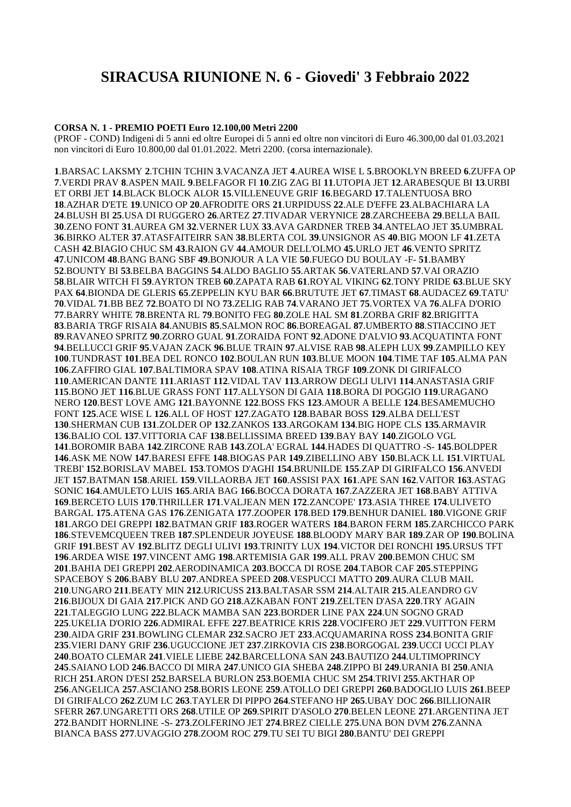# **SIRACUSA RIUNIONE N. 6 - Giovedi' 3 Febbraio 2022**

#### **CORSA N. 1 - PREMIO POETI Euro 12.100,00 Metri 2200**

(PROF - COND) Indigeni di 5 anni ed oltre Europei di 5 anni ed oltre non vincitori di Euro 46.300,00 dal 01.03.2021 non vincitori di Euro 10.800,00 dal 01.01.2022. Metri 2200. (corsa internazionale).

.BARSAC LAKSMY **2**.TCHIN TCHIN **3**.VACANZA JET **4**.AUREA WISE L **5**.BROOKLYN BREED **6**.ZUFFA OP .VERDI PRAV **8**.ASPEN MAIL **9**.BELFAGOR FI **10**.ZIG ZAG BI **11**.UTOPIA JET **12**.ARABESQUE BI **13**.URBI ET ORBI JET **14**.BLACK BLOCK ALOR **15**.VILLENEUVE GRIF **16**.BEGARD **17**.TALENTUOSA BRO .AZHAR D'ETE **19**.UNICO OP **20**.AFRODITE ORS **21**.URPIDUSS **22**.ALE D'EFFE **23**.ALBACHIARA LA .BLUSH BI **25**.USA DI RUGGERO **26**.ARTEZ **27**.TIVADAR VERYNICE **28**.ZARCHEEBA **29**.BELLA BAIL .ZENO FONT **31**.AUREA GM **32**.VERNER LUX **33**.AVA GARDNER TREB **34**.ANTELAO JET **35**.UMBRAL .BIRKO ALTER **37**.ATASFAITEIRR SAN **38**.BLERTA COL **39**.UNSIGNOR AS **40**.BIG MOON LF **41**.ZETA CASH **42**.BIAGIO CHUC SM **43**.RAION GV **44**.AMOUR DELL'OLMO **45**.URLO JET **46**.VENTO SPRITZ .UNICOM **48**.BANG BANG SBF **49**.BONJOUR A LA VIE **50**.FUEGO DU BOULAY -F- **51**.BAMBY .BOUNTY BI **53**.BELBA BAGGINS **54**.ALDO BAGLIO **55**.ARTAK **56**.VATERLAND **57**.VAI ORAZIO .BLAIR WITCH FI **59**.AYRTON TREB **60**.ZAPATA RAB **61**.ROYAL VIKING **62**.TONY PRIDE **63**.BLUE SKY PAX **64**.BIONDA DE GLERIS **65**.ZEPPELIN KYU BAR **66**.BRUTUTE JET **67**.TIMAST **68**.AUDACEZ **69**.TATU' .VIDAL **71**.BB BEZ **72**.BOATO DI NO **73**.ZELIG RAB **74**.VARANO JET **75**.VORTEX VA **76**.ALFA D'ORIO .BARRY WHITE **78**.BRENTA RL **79**.BONITO FEG **80**.ZOLE HAL SM **81**.ZORBA GRIF **82**.BRIGITTA .BARIA TRGF RISAIA **84**.ANUBIS **85**.SALMON ROC **86**.BOREAGAL **87**.UMBERTO **88**.STIACCINO JET .RAVANEO SPRITZ **90**.ZORRO GUAL **91**.ZORAIDA FONT **92**.ADONE D'ALVIO **93**.ACQUATINTA FONT .BELLUCCI GRIF **95**.VAJAN ZACK **96**.BLUE TRAIN **97**.ALVISE RAB **98**.ALEPH LUX **99**.ZAMPILLO KEY .TUNDRAST **101**.BEA DEL RONCO **102**.BOULAN RUN **103**.BLUE MOON **104**.TIME TAF **105**.ALMA PAN .ZAFFIRO GIAL **107**.BALTIMORA SPAV **108**.ATINA RISAIA TRGF **109**.ZONK DI GIRIFALCO .AMERICAN DANTE **111**.ARIAST **112**.VIDAL TAV **113**.ARROW DEGLI ULIVI **114**.ANASTASIA GRIF .BONO JET **116**.BLUE GRASS FONT **117**.ALLYSON DI GAIA **118**.BORA DI POGGIO **119**.URAGANO NERO **120**.BEST LOVE AMG **121**.BAYONNE **122**.BOSS FKS **123**.AMOUR A BELLE **124**.BESAMEMUCHO FONT **125**.ACE WISE L **126**.ALL OF HOST **127**.ZAGATO **128**.BABAR BOSS **129**.ALBA DELL'EST .SHERMAN CUB **131**.ZOLDER OP **132**.ZANKOS **133**.ARGOKAM **134**.BIG HOPE CLS **135**.ARMAVIR .BALIO COL **137**.VITTORIA CAF **138**.BELLISSIMA BREED **139**.BAY BAY **140**.ZIGOLO VGL .BOROMIR BABA **142**.ZIRCONE RAB **143**.ZOLA' EGRAL **144**.HADES DI QUATTRO -S- **145**.BOLDPER .ASK ME NOW **147**.BARESI EFFE **148**.BIOGAS PAR **149**.ZIBELLINO ABY **150**.BLACK LL **151**.VIRTUAL TREBI' **152**.BORISLAV MABEL **153**.TOMOS D'AGHI **154**.BRUNILDE **155**.ZAP DI GIRIFALCO **156**.ANVEDI JET **157**.BATMAN **158**.ARIEL **159**.VILLAORBA JET **160**.ASSISI PAX **161**.APE SAN **162**.VAITOR **163**.ASTAG SONIC **164**.AMULETO LUIS **165**.ARIA BAG **166**.BOCCA DORATA **167**.ZAZZERA JET **168**.BABY ATTIVA .BERCETO LUIS **170**.THRILLER **171**.VALJEAN MEN **172**.ZANCOPE' **173**.ASIA THREE **174**.ULIVETO BARGAL **175**.ATENA GAS **176**.ZENIGATA **177**.ZOOPER **178**.BED **179**.BENHUR DANIEL **180**.VIGONE GRIF .ARGO DEI GREPPI **182**.BATMAN GRIF **183**.ROGER WATERS **184**.BARON FERM **185**.ZARCHICCO PARK .STEVEMCQUEEN TREB **187**.SPLENDEUR JOYEUSE **188**.BLOODY MARY BAR **189**.ZAR OP **190**.BOLINA GRIF **191**.BEST AV **192**.BLITZ DEGLI ULIVI **193**.TRINITY LUX **194**.VICTOR DEI RONCHI **195**.URSUS TFT .ARDEA WISE **197**.VINCENT AMG **198**.ARTEMISIA GAR **199**.ALL PRAV **200**.BEMON CHUC SM .BAHIA DEI GREPPI **202**.AERODINAMICA **203**.BOCCA DI ROSE **204**.TABOR CAF **205**.STEPPING SPACEBOY S **206**.BABY BLU **207**.ANDREA SPEED **208**.VESPUCCI MATTO **209**.AURA CLUB MAIL .UNGARO **211**.BEATY MIN **212**.URICUSS **213**.BALTASAR SSM **214**.ALTAIR **215**.ALEANDRO GV .BIJOUX DI GAIA **217**.PICK AND GO **218**.AZKABAN FONT **219**.ZELTEN D'ASA **220**.TRY AGAIN .TALEGGIO LUNG **222**.BLACK MAMBA SAN **223**.BORDER LINE PAX **224**.UN SOGNO GRAD .UKELIA D'ORIO **226**.ADMIRAL EFFE **227**.BEATRICE KRIS **228**.VOCIFERO JET **229**.VUITTON FERM .AIDA GRIF **231**.BOWLING CLEMAR **232**.SACRO JET **233**.ACQUAMARINA ROSS **234**.BONITA GRIF .VIERI DANY GRIF **236**.UGUCCIONE JET **237**.ZIRKOVIA CIS **238**.BORGOGAL **239**.UCCI UCCI PLAY .BOATO CLEMAR **241**.VIELE LIEBE **242**.BARCELLONA SAN **243**.BAUTIZO **244**.ULTIMOPRINCY .SAIANO LOD **246**.BACCO DI MIRA **247**.UNICO GIA SHEBA **248**.ZIPPO BI **249**.URANIA BI **250**.ANIA RICH **251**.ARON D'ESI **252**.BARSELA BURLON **253**.BOEMIA CHUC SM **254**.TRIVI **255**.AKTHAR OP .ANGELICA **257**.ASCIANO **258**.BORIS LEONE **259**.ATOLLO DEI GREPPI **260**.BADOGLIO LUIS **261**.BEEP DI GIRIFALCO **262**.ZUM LC **263**.TAYLER DI PIPPO **264**.STEFANO HP **265**.UBAY DOC **266**.BILLIONAIR SFERR **267**.UNGARETTI ORS **268**.UTILE OP **269**.SPIRIT D'ASOLO **270**.BELEN LEONE **271**.ARGENTINA JET .BANDIT HORNLINE -S- **273**.ZOLFERINO JET **274**.BREZ CIELLE **275**.UNA BON DVM **276**.ZANNA BIANCA BASS **277**.UVAGGIO **278**.ZOOM ROC **279**.TU SEI TU BIGI **280**.BANTU' DEI GREPPI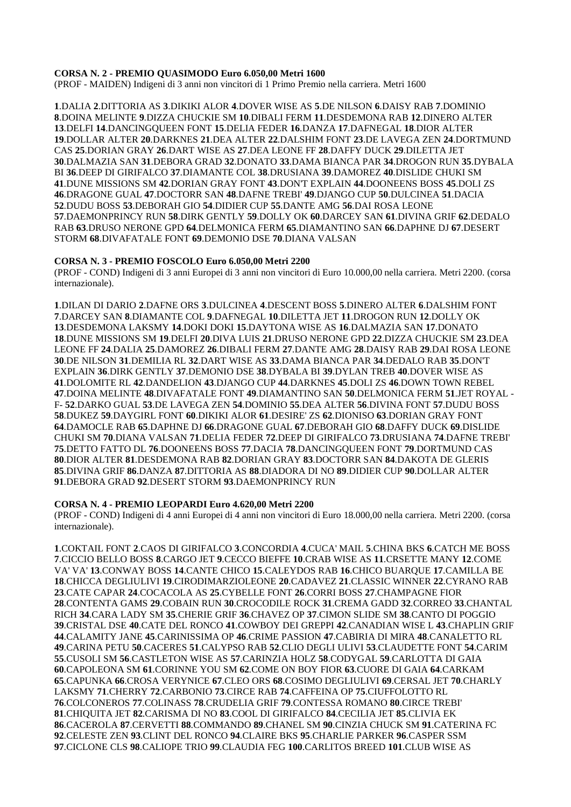#### **CORSA N. 2 - PREMIO QUASIMODO Euro 6.050,00 Metri 1600**

(PROF - MAIDEN) Indigeni di 3 anni non vincitori di 1 Primo Premio nella carriera. Metri 1600

.DALIA **2**.DITTORIA AS **3**.DIKIKI ALOR **4**.DOVER WISE AS **5**.DE NILSON **6**.DAISY RAB **7**.DOMINIO .DOINA MELINTE **9**.DIZZA CHUCKIE SM **10**.DIBALI FERM **11**.DESDEMONA RAB **12**.DINERO ALTER .DELFI **14**.DANCINGQUEEN FONT **15**.DELIA FEDER **16**.DANZA **17**.DAFNEGAL **18**.DIOR ALTER .DOLLAR ALTER **20**.DARKNES **21**.DEA ALTER **22**.DALSHIM FONT **23**.DE LAVEGA ZEN **24**.DORTMUND CAS **25**.DORIAN GRAY **26**.DART WISE AS **27**.DEA LEONE FF **28**.DAFFY DUCK **29**.DILETTA JET .DALMAZIA SAN **31**.DEBORA GRAD **32**.DONATO **33**.DAMA BIANCA PAR **34**.DROGON RUN **35**.DYBALA BI **36**.DEEP DI GIRIFALCO **37**.DIAMANTE COL **38**.DRUSIANA **39**.DAMOREZ **40**.DISLIDE CHUKI SM .DUNE MISSIONS SM **42**.DORIAN GRAY FONT **43**.DON'T EXPLAIN **44**.DOONEENS BOSS **45**.DOLI ZS .DRAGONE GUAL **47**.DOCTORR SAN **48**.DAFNE TREBI' **49**.DJANGO CUP **50**.DULCINEA **51**.DACIA .DUDU BOSS **53**.DEBORAH GIO **54**.DIDIER CUP **55**.DANTE AMG **56**.DAI ROSA LEONE .DAEMONPRINCY RUN **58**.DIRK GENTLY **59**.DOLLY OK **60**.DARCEY SAN **61**.DIVINA GRIF **62**.DEDALO RAB **63**.DRUSO NERONE GPD **64**.DELMONICA FERM **65**.DIAMANTINO SAN **66**.DAPHNE DJ **67**.DESERT STORM **68**.DIVAFATALE FONT **69**.DEMONIO DSE **70**.DIANA VALSAN

## **CORSA N. 3 - PREMIO FOSCOLO Euro 6.050,00 Metri 2200**

(PROF - COND) Indigeni di 3 anni Europei di 3 anni non vincitori di Euro 10.000,00 nella carriera. Metri 2200. (corsa internazionale).

.DILAN DI DARIO **2**.DAFNE ORS **3**.DULCINEA **4**.DESCENT BOSS **5**.DINERO ALTER **6**.DALSHIM FONT .DARCEY SAN **8**.DIAMANTE COL **9**.DAFNEGAL **10**.DILETTA JET **11**.DROGON RUN **12**.DOLLY OK .DESDEMONA LAKSMY **14**.DOKI DOKI **15**.DAYTONA WISE AS **16**.DALMAZIA SAN **17**.DONATO .DUNE MISSIONS SM **19**.DELFI **20**.DIVA LUIS **21**.DRUSO NERONE GPD **22**.DIZZA CHUCKIE SM **23**.DEA LEONE FF **24**.DALIA **25**.DAMOREZ **26**.DIBALI FERM **27**.DANTE AMG **28**.DAISY RAB **29**.DAI ROSA LEONE .DE NILSON **31**.DEMILIA RL **32**.DART WISE AS **33**.DAMA BIANCA PAR **34**.DEDALO RAB **35**.DON'T EXPLAIN **36**.DIRK GENTLY **37**.DEMONIO DSE **38**.DYBALA BI **39**.DYLAN TREB **40**.DOVER WISE AS .DOLOMITE RL **42**.DANDELION **43**.DJANGO CUP **44**.DARKNES **45**.DOLI ZS **46**.DOWN TOWN REBEL .DOINA MELINTE **48**.DIVAFATALE FONT **49**.DIAMANTINO SAN **50**.DELMONICA FERM **51**.JET ROYAL - F- **52**.DARKO GUAL **53**.DE LAVEGA ZEN **54**.DOMINIO **55**.DEA ALTER **56**.DIVINA FONT **57**.DUDU BOSS .DUKEZ **59**.DAYGIRL FONT **60**.DIKIKI ALOR **61**.DESIRE' ZS **62**.DIONISO **63**.DORIAN GRAY FONT .DAMOCLE RAB **65**.DAPHNE DJ **66**.DRAGONE GUAL **67**.DEBORAH GIO **68**.DAFFY DUCK **69**.DISLIDE CHUKI SM **70**.DIANA VALSAN **71**.DELIA FEDER **72**.DEEP DI GIRIFALCO **73**.DRUSIANA **74**.DAFNE TREBI' .DETTO FATTO DL **76**.DOONEENS BOSS **77**.DACIA **78**.DANCINGQUEEN FONT **79**.DORTMUND CAS .DIOR ALTER **81**.DESDEMONA RAB **82**.DORIAN GRAY **83**.DOCTORR SAN **84**.DAKOTA DE GLERIS .DIVINA GRIF **86**.DANZA **87**.DITTORIA AS **88**.DIADORA DI NO **89**.DIDIER CUP **90**.DOLLAR ALTER .DEBORA GRAD **92**.DESERT STORM **93**.DAEMONPRINCY RUN

#### **CORSA N. 4 - PREMIO LEOPARDI Euro 4.620,00 Metri 2200**

(PROF - COND) Indigeni di 4 anni Europei di 4 anni non vincitori di Euro 18.000,00 nella carriera. Metri 2200. (corsa internazionale).

.COKTAIL FONT **2**.CAOS DI GIRIFALCO **3**.CONCORDIA **4**.CUCA' MAIL **5**.CHINA BKS **6**.CATCH ME BOSS .CICCIO BELLO BOSS **8**.CARGO JET **9**.CECCO BIEFFE **10**.CRAB WISE AS **11**.CRSETTE MANY **12**.COME VA' VA' **13**.CONWAY BOSS **14**.CANTE CHICO **15**.CALEYDOS RAB **16**.CHICO BUARQUE **17**.CAMILLA BE .CHICCA DEGLIULIVI **19**.CIRODIMARZIOLEONE **20**.CADAVEZ **21**.CLASSIC WINNER **22**.CYRANO RAB .CATE CAPAR **24**.COCACOLA AS **25**.CYBELLE FONT **26**.CORRI BOSS **27**.CHAMPAGNE FIOR .CONTENTA GAMS **29**.COBAIN RUN **30**.CROCODILE ROCK **31**.CREMA GADD **32**.CORREO **33**.CHANTAL RICH **34**.CARA LADY SM **35**.CHERIE GRIF **36**.CHAVEZ OP **37**.CIMON SLIDE SM **38**.CANTO DI POGGIO .CRISTAL DSE **40**.CATE DEL RONCO **41**.COWBOY DEI GREPPI **42**.CANADIAN WISE L **43**.CHAPLIN GRIF .CALAMITY JANE **45**.CARINISSIMA OP **46**.CRIME PASSION **47**.CABIRIA DI MIRA **48**.CANALETTO RL .CARINA PETU **50**.CACERES **51**.CALYPSO RAB **52**.CLIO DEGLI ULIVI **53**.CLAUDETTE FONT **54**.CARIM .CUSOLI SM **56**.CASTLETON WISE AS **57**.CARINZIA HOLZ **58**.CODYGAL **59**.CARLOTTA DI GAIA .CAPOLEONA SM **61**.CORINNE YOU SM **62**.COME ON BOY FIOR **63**.CUORE DI GAIA **64**.CARKAM .CAPUNKA **66**.CROSA VERYNICE **67**.CLEO ORS **68**.COSIMO DEGLIULIVI **69**.CERSAL JET **70**.CHARLY LAKSMY **71**.CHERRY **72**.CARBONIO **73**.CIRCE RAB **74**.CAFFEINA OP **75**.CIUFFOLOTTO RL .COLCONEROS **77**.COLINASS **78**.CRUDELIA GRIF **79**.CONTESSA ROMANO **80**.CIRCE TREBI' .CHIQUITA JET **82**.CARISMA DI NO **83**.COOL DI GIRIFALCO **84**.CECILIA JET **85**.CLIVIA EK .CACEROLA **87**.CERVETTI **88**.COMMANDO **89**.CHANEL SM **90**.CINZIA CHUCK SM **91**.CATERINA FC .CELESTE ZEN **93**.CLINT DEL RONCO **94**.CLAIRE BKS **95**.CHARLIE PARKER **96**.CASPER SSM .CICLONE CLS **98**.CALIOPE TRIO **99**.CLAUDIA FEG **100**.CARLITOS BREED **101**.CLUB WISE AS